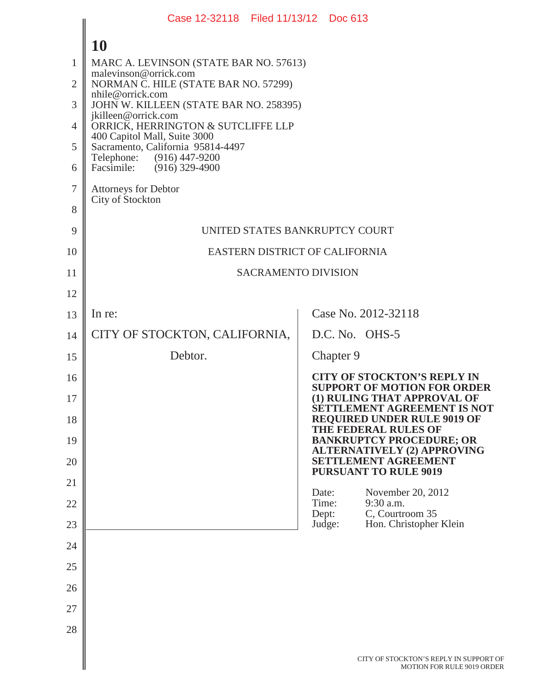|                | Case 12-32118 Filed 11/13/12 Doc 613                              |                |                                                                           |  |  |  |
|----------------|-------------------------------------------------------------------|----------------|---------------------------------------------------------------------------|--|--|--|
|                | 10                                                                |                |                                                                           |  |  |  |
| 1              | MARC A. LEVINSON (STATE BAR NO. 57613)                            |                |                                                                           |  |  |  |
| $\overline{2}$ | malevinson@orrick.com<br>NORMAN C. HILE (STATE BAR NO. 57299)     |                |                                                                           |  |  |  |
| 3              | nhile@orrick.com<br>JOHN W. KILLEEN (STATE BAR NO. 258395)        |                |                                                                           |  |  |  |
| $\overline{4}$ | jkilleen@orrick.com<br>ORRICK, HERRINGTON & SUTCLIFFE LLP         |                |                                                                           |  |  |  |
| 5              | 400 Capitol Mall, Suite 3000<br>Sacramento, California 95814-4497 |                |                                                                           |  |  |  |
| 6              | Telephone: (916) 447-9200<br>Facsimile: (916) 329-4900            |                |                                                                           |  |  |  |
| $\tau$         | Attorneys for Debtor                                              |                |                                                                           |  |  |  |
| 8              | City of Stockton                                                  |                |                                                                           |  |  |  |
| 9              | UNITED STATES BANKRUPTCY COURT                                    |                |                                                                           |  |  |  |
| 10             | EASTERN DISTRICT OF CALIFORNIA                                    |                |                                                                           |  |  |  |
| 11             | <b>SACRAMENTO DIVISION</b>                                        |                |                                                                           |  |  |  |
| 12             |                                                                   |                |                                                                           |  |  |  |
| 13             | In re:                                                            |                | Case No. 2012-32118                                                       |  |  |  |
| 14             | CITY OF STOCKTON, CALIFORNIA,                                     |                | D.C. No. OHS-5                                                            |  |  |  |
| 15             | Debtor.                                                           |                | Chapter 9                                                                 |  |  |  |
| 16             |                                                                   |                | <b>CITY OF STOCKTON'S REPLY IN</b><br><b>SUPPORT OF MOTION FOR ORDER</b>  |  |  |  |
| 17             |                                                                   |                | (1) RULING THAT APPROVAL OF<br>SETTLEMENT AGREEMENT IS NOT                |  |  |  |
| 18             |                                                                   |                | <b>REQUIRED UNDER RULE 9019 OF</b><br>THE FEDERAL RULES OF                |  |  |  |
| 19             |                                                                   |                | <b>BANKRUPTCY PROCEDURE; OR</b><br><b>ALTERNATIVELY (2) APPROVING</b>     |  |  |  |
| 20             |                                                                   |                | <b>SETTLEMENT AGREEMENT</b><br><b>PURSUANT TO RULE 9019</b>               |  |  |  |
| 21             |                                                                   | Date:          | November 20, 2012                                                         |  |  |  |
| 22             |                                                                   | Time:<br>Dept: | 9:30 a.m.<br>C, Courtroom 35                                              |  |  |  |
| 23             |                                                                   | Judge:         | Hon. Christopher Klein                                                    |  |  |  |
| 24             |                                                                   |                |                                                                           |  |  |  |
| 25             |                                                                   |                |                                                                           |  |  |  |
| 26             |                                                                   |                |                                                                           |  |  |  |
| 27             |                                                                   |                |                                                                           |  |  |  |
| 28             |                                                                   |                |                                                                           |  |  |  |
|                |                                                                   |                | CITY OF STOCKTON'S REPLY IN SUPPORT O<br><b>MOTION FOR RULE 9019 ORDE</b> |  |  |  |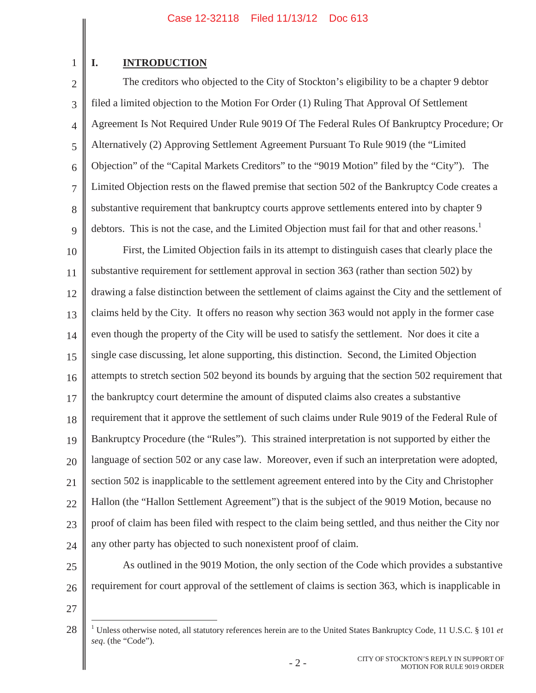## 1

### **I. INTRODUCTION**

2 3 4 5 6 7 8 9 The creditors who objected to the City of Stockton's eligibility to be a chapter 9 debtor filed a limited objection to the Motion For Order (1) Ruling That Approval Of Settlement Agreement Is Not Required Under Rule 9019 Of The Federal Rules Of Bankruptcy Procedure; Or Alternatively (2) Approving Settlement Agreement Pursuant To Rule 9019 (the "Limited Objection" of the "Capital Markets Creditors" to the "9019 Motion" filed by the "City"). The Limited Objection rests on the flawed premise that section 502 of the Bankruptcy Code creates a substantive requirement that bankruptcy courts approve settlements entered into by chapter 9 debtors. This is not the case, and the Limited Objection must fail for that and other reasons.<sup>1</sup>

10 11 12 13 14 15 16 17 18 19 20 21 22 23 24 First, the Limited Objection fails in its attempt to distinguish cases that clearly place the substantive requirement for settlement approval in section 363 (rather than section 502) by drawing a false distinction between the settlement of claims against the City and the settlement of claims held by the City. It offers no reason why section 363 would not apply in the former case even though the property of the City will be used to satisfy the settlement. Nor does it cite a single case discussing, let alone supporting, this distinction. Second, the Limited Objection attempts to stretch section 502 beyond its bounds by arguing that the section 502 requirement that the bankruptcy court determine the amount of disputed claims also creates a substantive requirement that it approve the settlement of such claims under Rule 9019 of the Federal Rule of Bankruptcy Procedure (the "Rules"). This strained interpretation is not supported by either the language of section 502 or any case law. Moreover, even if such an interpretation were adopted, section 502 is inapplicable to the settlement agreement entered into by the City and Christopher Hallon (the "Hallon Settlement Agreement") that is the subject of the 9019 Motion, because no proof of claim has been filed with respect to the claim being settled, and thus neither the City nor any other party has objected to such nonexistent proof of claim.

- 25
- 26

As outlined in the 9019 Motion, the only section of the Code which provides a substantive requirement for court approval of the settlement of claims is section 363, which is inapplicable in

27

<sup>28</sup> <sup>1</sup> Unless otherwise noted, all statutory references herein are to the United States Bankruptcy Code, 11 U.S.C. § 101 *et seq*. (the "Code").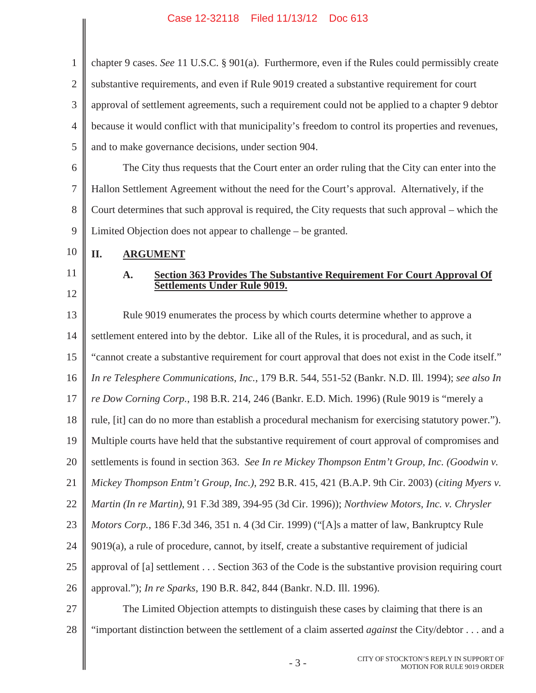$\frac{1}{2}$ 

 $\parallel$ 

| $\mathbf{1}$   | chapter 9 cases. See 11 U.S.C. § 901(a). Furthermore, even if the Rules could permissibly create       |  |  |  |
|----------------|--------------------------------------------------------------------------------------------------------|--|--|--|
| $\overline{2}$ | substantive requirements, and even if Rule 9019 created a substantive requirement for court            |  |  |  |
| 3              | approval of settlement agreements, such a requirement could not be applied to a chapter 9 debtor       |  |  |  |
| $\overline{4}$ | because it would conflict with that municipality's freedom to control its properties and revenues,     |  |  |  |
| 5              | and to make governance decisions, under section 904.                                                   |  |  |  |
| 6              | The City thus requests that the Court enter an order ruling that the City can enter into the           |  |  |  |
| $\overline{7}$ | Hallon Settlement Agreement without the need for the Court's approval. Alternatively, if the           |  |  |  |
| 8              | Court determines that such approval is required, the City requests that such approval – which the      |  |  |  |
| 9              | Limited Objection does not appear to challenge – be granted.                                           |  |  |  |
| 10             | П.<br><b>ARGUMENT</b>                                                                                  |  |  |  |
| 11             | <b>Section 363 Provides The Substantive Requirement For Court Approval Of</b><br>A.                    |  |  |  |
| 12             | Settlements Under Rule 9019.                                                                           |  |  |  |
| 13             | Rule 9019 enumerates the process by which courts determine whether to approve a                        |  |  |  |
| 14             | settlement entered into by the debtor. Like all of the Rules, it is procedural, and as such, it        |  |  |  |
| 15             | "cannot create a substantive requirement for court approval that does not exist in the Code itself."   |  |  |  |
| 16             | In re Telesphere Communications, Inc., 179 B.R. 544, 551-52 (Bankr. N.D. Ill. 1994); see also In       |  |  |  |
| 17             | re Dow Corning Corp., 198 B.R. 214, 246 (Bankr. E.D. Mich. 1996) (Rule 9019 is "merely a               |  |  |  |
| 18             | rule, [it] can do no more than establish a procedural mechanism for exercising statutory power.").     |  |  |  |
| 19             | Multiple courts have held that the substantive requirement of court approval of compromises and        |  |  |  |
| 20             | settlements is found in section 363. See In re Mickey Thompson Entm't Group, Inc. (Goodwin v.          |  |  |  |
| 21             | Mickey Thompson Entm't Group, Inc.), 292 B.R. 415, 421 (B.A.P. 9th Cir. 2003) (citing Myers v.         |  |  |  |
| 22             | Martin (In re Martin), 91 F.3d 389, 394-95 (3d Cir. 1996)); Northview Motors, Inc. v. Chrysler         |  |  |  |
| 23             | <i>Motors Corp.</i> , 186 F.3d 346, 351 n. 4 (3d Cir. 1999) ("[A]s a matter of law, Bankruptcy Rule    |  |  |  |
| 24             | 9019(a), a rule of procedure, cannot, by itself, create a substantive requirement of judicial          |  |  |  |
| 25             | approval of [a] settlement Section 363 of the Code is the substantive provision requiring court        |  |  |  |
| 26             | approval."); <i>In re Sparks</i> , 190 B.R. 842, 844 (Bankr. N.D. Ill. 1996).                          |  |  |  |
| 27             | The Limited Objection attempts to distinguish these cases by claiming that there is an                 |  |  |  |
| 28             | "important distinction between the settlement of a claim asserted <i>against</i> the City/debtor and a |  |  |  |
|                | CITY OF STOCKTON'S REPLY IN SUPPORT OF<br>$-3-$<br>MOTION FOR RULE 9019 ORDER                          |  |  |  |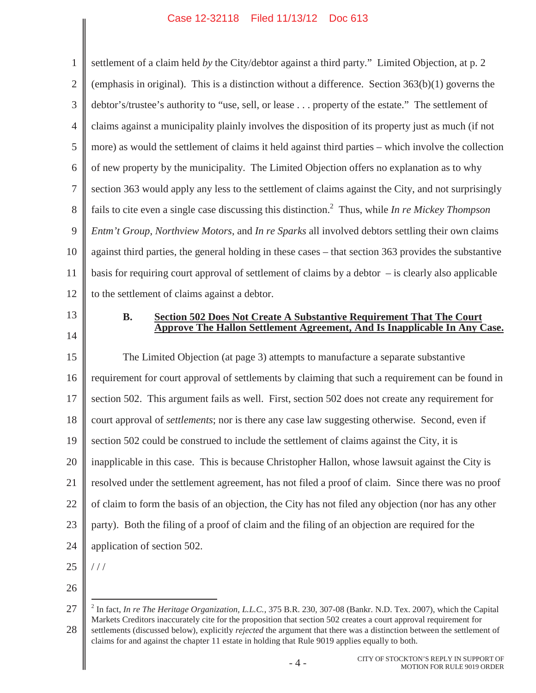1 2 3 4 5 6 7 8 9 10 11 12 settlement of a claim held *by* the City/debtor against a third party." Limited Objection, at p. 2 (emphasis in original). This is a distinction without a difference. Section  $363(b)(1)$  governs the debtor's/trustee's authority to "use, sell, or lease . . . property of the estate." The settlement of claims against a municipality plainly involves the disposition of its property just as much (if not more) as would the settlement of claims it held against third parties – which involve the collection of new property by the municipality. The Limited Objection offers no explanation as to why section 363 would apply any less to the settlement of claims against the City, and not surprisingly fails to cite even a single case discussing this distinction.2 Thus, while *In re Mickey Thompson Entm't Group*, *Northview Motors*, and *In re Sparks* all involved debtors settling their own claims against third parties, the general holding in these cases – that section 363 provides the substantive basis for requiring court approval of settlement of claims by a debtor – is clearly also applicable to the settlement of claims against a debtor.

13

14

#### **B. Section 502 Does Not Create A Substantive Requirement That The Court Approve The Hallon Settlement Agreement, And Is Inapplicable In Any Case.**

15 16 17 18 19 20 21 22 23 24 The Limited Objection (at page 3) attempts to manufacture a separate substantive requirement for court approval of settlements by claiming that such a requirement can be found in section 502. This argument fails as well. First, section 502 does not create any requirement for court approval of *settlements*; nor is there any case law suggesting otherwise. Second, even if section 502 could be construed to include the settlement of claims against the City, it is inapplicable in this case. This is because Christopher Hallon, whose lawsuit against the City is resolved under the settlement agreement, has not filed a proof of claim. Since there was no proof of claim to form the basis of an objection, the City has not filed any objection (nor has any other party). Both the filing of a proof of claim and the filing of an objection are required for the application of section 502.

25

///

26

<sup>27</sup> 28 <sup>2</sup> In fact, *In re The Heritage Organization, L.L.C.*, 375 B.R. 230, 307-08 (Bankr. N.D. Tex. 2007), which the Capital Markets Creditors inaccurately cite for the proposition that section 502 creates a court approval requirement for settlements (discussed below), explicitly *rejected* the argument that there was a distinction between the settlement of claims for and against the chapter 11 estate in holding that Rule 9019 applies equally to both.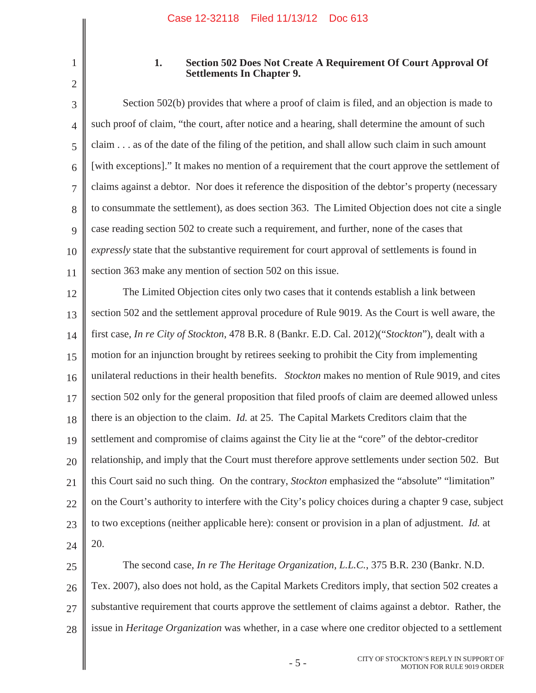#### **1. Section 502 Does Not Create A Requirement Of Court Approval Of Settlements In Chapter 9.**

3 4 5 6 7 8 9 10 11 Section 502(b) provides that where a proof of claim is filed, and an objection is made to such proof of claim, "the court, after notice and a hearing, shall determine the amount of such claim . . . as of the date of the filing of the petition, and shall allow such claim in such amount [with exceptions]." It makes no mention of a requirement that the court approve the settlement of claims against a debtor. Nor does it reference the disposition of the debtor's property (necessary to consummate the settlement), as does section 363. The Limited Objection does not cite a single case reading section 502 to create such a requirement, and further, none of the cases that *expressly* state that the substantive requirement for court approval of settlements is found in section 363 make any mention of section 502 on this issue.

12 13 14 15 16 17 18 19 20 21 22 23 24 The Limited Objection cites only two cases that it contends establish a link between section 502 and the settlement approval procedure of Rule 9019. As the Court is well aware, the first case, *In re City of Stockton*, 478 B.R. 8 (Bankr. E.D. Cal. 2012)("*Stockton*"), dealt with a motion for an injunction brought by retirees seeking to prohibit the City from implementing unilateral reductions in their health benefits. *Stockton* makes no mention of Rule 9019, and cites section 502 only for the general proposition that filed proofs of claim are deemed allowed unless there is an objection to the claim. *Id.* at 25. The Capital Markets Creditors claim that the settlement and compromise of claims against the City lie at the "core" of the debtor-creditor relationship, and imply that the Court must therefore approve settlements under section 502. But this Court said no such thing. On the contrary, *Stockton* emphasized the "absolute" "limitation" on the Court's authority to interfere with the City's policy choices during a chapter 9 case, subject to two exceptions (neither applicable here): consent or provision in a plan of adjustment. *Id.* at 20.

25 26 27 28 The second case, *In re The Heritage Organization, L.L.C.*, 375 B.R. 230 (Bankr. N.D. Tex. 2007), also does not hold, as the Capital Markets Creditors imply, that section 502 creates a substantive requirement that courts approve the settlement of claims against a debtor. Rather, the issue in *Heritage Organization* was whether, in a case where one creditor objected to a settlement

<sup>1</sup> 2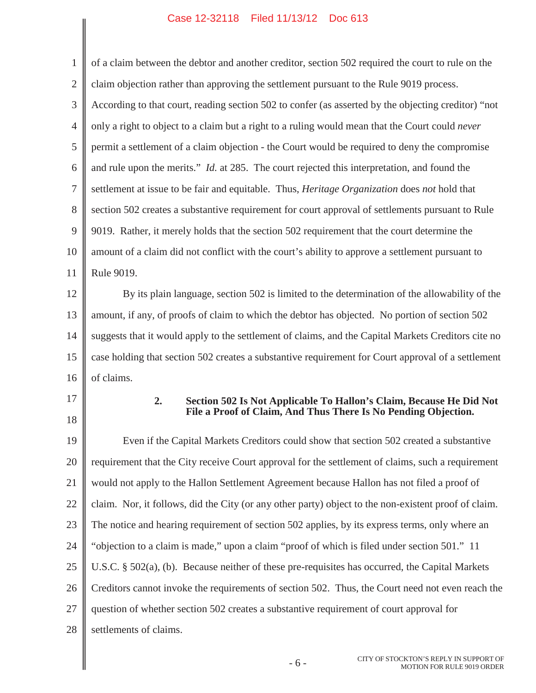$\overline{\phantom{a}}$ 

| $\mathbf{1}$   | of a claim between the debtor and another creditor, section 502 required the court to rule on the                                           |  |  |  |
|----------------|---------------------------------------------------------------------------------------------------------------------------------------------|--|--|--|
| $\mathbf{2}$   | claim objection rather than approving the settlement pursuant to the Rule 9019 process.                                                     |  |  |  |
| $\mathfrak{Z}$ | According to that court, reading section 502 to confer (as asserted by the objecting creditor) "not                                         |  |  |  |
| $\overline{4}$ | only a right to object to a claim but a right to a ruling would mean that the Court could never                                             |  |  |  |
| 5              | permit a settlement of a claim objection - the Court would be required to deny the compromise                                               |  |  |  |
| 6              | and rule upon the merits." <i>Id.</i> at 285. The court rejected this interpretation, and found the                                         |  |  |  |
| 7              | settlement at issue to be fair and equitable. Thus, <i>Heritage Organization</i> does not hold that                                         |  |  |  |
| 8              | section 502 creates a substantive requirement for court approval of settlements pursuant to Rule                                            |  |  |  |
| 9              | 9019. Rather, it merely holds that the section 502 requirement that the court determine the                                                 |  |  |  |
| 10             | amount of a claim did not conflict with the court's ability to approve a settlement pursuant to                                             |  |  |  |
| 11             | Rule 9019.                                                                                                                                  |  |  |  |
| 12             | By its plain language, section 502 is limited to the determination of the allowability of the                                               |  |  |  |
| 13             | amount, if any, of proofs of claim to which the debtor has objected. No portion of section 502                                              |  |  |  |
| 14             | suggests that it would apply to the settlement of claims, and the Capital Markets Creditors cite no                                         |  |  |  |
| 15             | case holding that section 502 creates a substantive requirement for Court approval of a settlement                                          |  |  |  |
| 16             | of claims.                                                                                                                                  |  |  |  |
| 17<br>18       | 2.<br>Section 502 Is Not Applicable To Hallon's Claim, Because He Did Not<br>File a Proof of Claim, And Thus There Is No Pending Objection. |  |  |  |
| 19             | Even if the Capital Markets Creditors could show that section 502 created a substantive                                                     |  |  |  |
| 20             | requirement that the City receive Court approval for the settlement of claims, such a requirement                                           |  |  |  |
| 21             | would not apply to the Hallon Settlement Agreement because Hallon has not filed a proof of                                                  |  |  |  |
| 22             | claim. Nor, it follows, did the City (or any other party) object to the non-existent proof of claim.                                        |  |  |  |
| 23             | The notice and hearing requirement of section 502 applies, by its express terms, only where an                                              |  |  |  |
| 24             | "objection to a claim is made," upon a claim "proof of which is filed under section 501." 11                                                |  |  |  |
| 25             | U.S.C. § 502(a), (b). Because neither of these pre-requisites has occurred, the Capital Markets                                             |  |  |  |
| 26             | Creditors cannot invoke the requirements of section 502. Thus, the Court need not even reach the                                            |  |  |  |
| 27             | question of whether section 502 creates a substantive requirement of court approval for                                                     |  |  |  |
| 28             | settlements of claims.                                                                                                                      |  |  |  |
|                |                                                                                                                                             |  |  |  |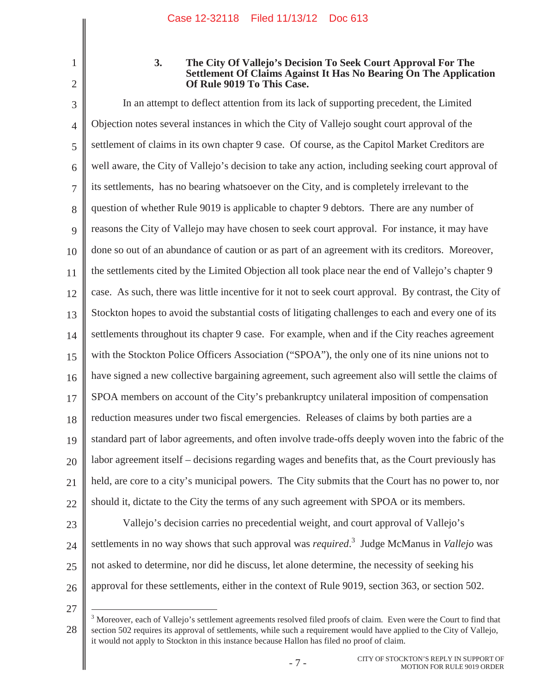#### **3. The City Of Vallejo's Decision To Seek Court Approval For The Settlement Of Claims Against It Has No Bearing On The Application Of Rule 9019 To This Case.**

3 4 5 6 7 8 9 10 11 12 13 14 15 16 17 18 19 20 21 22 23 24 25 In an attempt to deflect attention from its lack of supporting precedent, the Limited Objection notes several instances in which the City of Vallejo sought court approval of the settlement of claims in its own chapter 9 case. Of course, as the Capitol Market Creditors are well aware, the City of Vallejo's decision to take any action, including seeking court approval of its settlements, has no bearing whatsoever on the City, and is completely irrelevant to the question of whether Rule 9019 is applicable to chapter 9 debtors. There are any number of reasons the City of Vallejo may have chosen to seek court approval. For instance, it may have done so out of an abundance of caution or as part of an agreement with its creditors. Moreover, the settlements cited by the Limited Objection all took place near the end of Vallejo's chapter 9 case. As such, there was little incentive for it not to seek court approval. By contrast, the City of Stockton hopes to avoid the substantial costs of litigating challenges to each and every one of its settlements throughout its chapter 9 case. For example, when and if the City reaches agreement with the Stockton Police Officers Association ("SPOA"), the only one of its nine unions not to have signed a new collective bargaining agreement, such agreement also will settle the claims of SPOA members on account of the City's prebankruptcy unilateral imposition of compensation reduction measures under two fiscal emergencies. Releases of claims by both parties are a standard part of labor agreements, and often involve trade-offs deeply woven into the fabric of the labor agreement itself – decisions regarding wages and benefits that, as the Court previously has held, are core to a city's municipal powers. The City submits that the Court has no power to, nor should it, dictate to the City the terms of any such agreement with SPOA or its members. Vallejo's decision carries no precedential weight, and court approval of Vallejo's settlements in no way shows that such approval was *required*. <sup>3</sup> Judge McManus in *Vallejo* was not asked to determine, nor did he discuss, let alone determine, the necessity of seeking his

26 27

approval for these settlements, either in the context of Rule 9019, section 363, or section 502.

<sup>1</sup> 2

<sup>28</sup> <sup>3</sup> Moreover, each of Vallejo's settlement agreements resolved filed proofs of claim. Even were the Court to find that section 502 requires its approval of settlements, while such a requirement would have applied to the City of Vallejo, it would not apply to Stockton in this instance because Hallon has filed no proof of claim.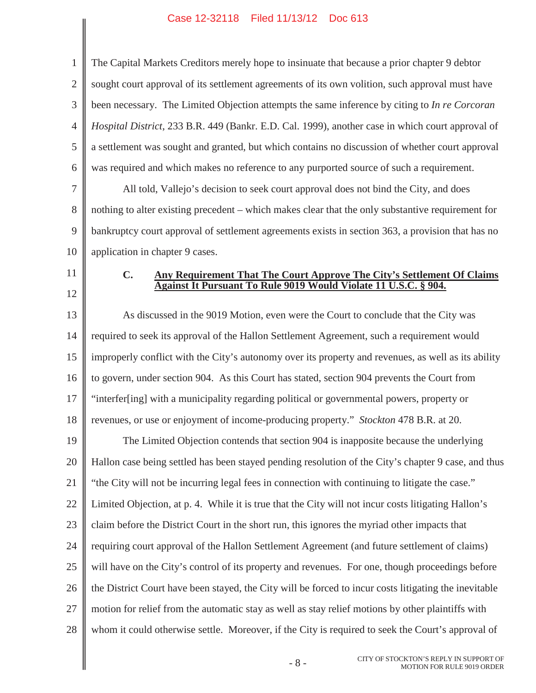$\overline{\phantom{a}}$ 

| $\mathbf{1}$   | The Capital Markets Creditors merely hope to insinuate that because a prior chapter 9 debtor          |  |  |  |
|----------------|-------------------------------------------------------------------------------------------------------|--|--|--|
| $\overline{2}$ | sought court approval of its settlement agreements of its own volition, such approval must have       |  |  |  |
| 3              | been necessary. The Limited Objection attempts the same inference by citing to In re Corcoran         |  |  |  |
| $\overline{4}$ | Hospital District, 233 B.R. 449 (Bankr. E.D. Cal. 1999), another case in which court approval of      |  |  |  |
| 5              | a settlement was sought and granted, but which contains no discussion of whether court approval       |  |  |  |
| 6              | was required and which makes no reference to any purported source of such a requirement.              |  |  |  |
| $\overline{7}$ | All told, Vallejo's decision to seek court approval does not bind the City, and does                  |  |  |  |
| $8\,$          | nothing to alter existing precedent – which makes clear that the only substantive requirement for     |  |  |  |
| 9              | bankruptcy court approval of settlement agreements exists in section 363, a provision that has no     |  |  |  |
| 10             | application in chapter 9 cases.                                                                       |  |  |  |
| 11             | $\mathbf{C}$ .<br>Any Requirement That The Court Approve The City's Settlement Of Claims              |  |  |  |
| 12             | Against It Pursuant To Rule 9019 Would Violate 11 U.S.C. § 904.                                       |  |  |  |
| 13             | As discussed in the 9019 Motion, even were the Court to conclude that the City was                    |  |  |  |
| 14             | required to seek its approval of the Hallon Settlement Agreement, such a requirement would            |  |  |  |
| 15             | improperly conflict with the City's autonomy over its property and revenues, as well as its ability   |  |  |  |
| 16             | to govern, under section 904. As this Court has stated, section 904 prevents the Court from           |  |  |  |
| 17             | "interfer[ing] with a municipality regarding political or governmental powers, property or            |  |  |  |
| 18             | revenues, or use or enjoyment of income-producing property." Stockton 478 B.R. at 20.                 |  |  |  |
| 19             | The Limited Objection contends that section 904 is inapposite because the underlying                  |  |  |  |
| 20             | Hallon case being settled has been stayed pending resolution of the City's chapter 9 case, and thus   |  |  |  |
| 21             | "the City will not be incurring legal fees in connection with continuing to litigate the case."       |  |  |  |
| 22             | Limited Objection, at p. 4. While it is true that the City will not incur costs litigating Hallon's   |  |  |  |
| 23             | claim before the District Court in the short run, this ignores the myriad other impacts that          |  |  |  |
| 24             | requiring court approval of the Hallon Settlement Agreement (and future settlement of claims)         |  |  |  |
| 25             | will have on the City's control of its property and revenues. For one, though proceedings before      |  |  |  |
| 26             | the District Court have been stayed, the City will be forced to incur costs litigating the inevitable |  |  |  |
| 27             | motion for relief from the automatic stay as well as stay relief motions by other plaintiffs with     |  |  |  |
| 28             | whom it could otherwise settle. Moreover, if the City is required to seek the Court's approval of     |  |  |  |
|                | CITY OF STOCKTON'S REPLY IN SUPPORT OF<br>$-8-$<br>MOTION FOR RHI E 9019 ORDER-                       |  |  |  |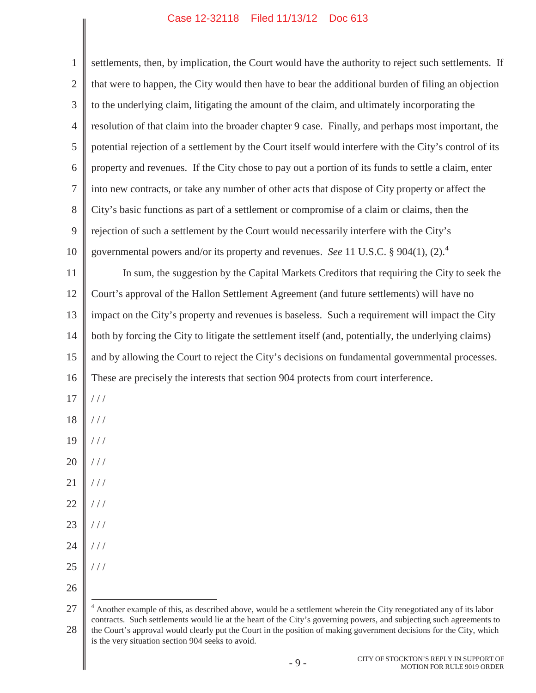$\parallel$ 

| $\mathbf{1}$   | settlements, then, by implication, the Court would have the authority to reject such settlements. If                                                                                                                                                                                                                                                                                                                      |  |  |  |  |
|----------------|---------------------------------------------------------------------------------------------------------------------------------------------------------------------------------------------------------------------------------------------------------------------------------------------------------------------------------------------------------------------------------------------------------------------------|--|--|--|--|
| $\overline{2}$ | that were to happen, the City would then have to bear the additional burden of filing an objection                                                                                                                                                                                                                                                                                                                        |  |  |  |  |
| $\mathfrak{Z}$ | to the underlying claim, litigating the amount of the claim, and ultimately incorporating the                                                                                                                                                                                                                                                                                                                             |  |  |  |  |
| 4              | resolution of that claim into the broader chapter 9 case. Finally, and perhaps most important, the                                                                                                                                                                                                                                                                                                                        |  |  |  |  |
| 5              | potential rejection of a settlement by the Court itself would interfere with the City's control of its                                                                                                                                                                                                                                                                                                                    |  |  |  |  |
| 6              | property and revenues. If the City chose to pay out a portion of its funds to settle a claim, enter                                                                                                                                                                                                                                                                                                                       |  |  |  |  |
| $\tau$         | into new contracts, or take any number of other acts that dispose of City property or affect the                                                                                                                                                                                                                                                                                                                          |  |  |  |  |
| $8\,$          | City's basic functions as part of a settlement or compromise of a claim or claims, then the                                                                                                                                                                                                                                                                                                                               |  |  |  |  |
| 9              | rejection of such a settlement by the Court would necessarily interfere with the City's                                                                                                                                                                                                                                                                                                                                   |  |  |  |  |
| 10             | governmental powers and/or its property and revenues. See 11 U.S.C. § 904(1), (2). <sup>4</sup>                                                                                                                                                                                                                                                                                                                           |  |  |  |  |
| 11             | In sum, the suggestion by the Capital Markets Creditors that requiring the City to seek the                                                                                                                                                                                                                                                                                                                               |  |  |  |  |
| 12             | Court's approval of the Hallon Settlement Agreement (and future settlements) will have no                                                                                                                                                                                                                                                                                                                                 |  |  |  |  |
| 13             | impact on the City's property and revenues is baseless. Such a requirement will impact the City                                                                                                                                                                                                                                                                                                                           |  |  |  |  |
| 14             | both by forcing the City to litigate the settlement itself (and, potentially, the underlying claims)                                                                                                                                                                                                                                                                                                                      |  |  |  |  |
| 15             | and by allowing the Court to reject the City's decisions on fundamental governmental processes.                                                                                                                                                                                                                                                                                                                           |  |  |  |  |
| 16             | These are precisely the interests that section 904 protects from court interference.                                                                                                                                                                                                                                                                                                                                      |  |  |  |  |
| 17             | //                                                                                                                                                                                                                                                                                                                                                                                                                        |  |  |  |  |
| $18\,$         | //                                                                                                                                                                                                                                                                                                                                                                                                                        |  |  |  |  |
| 19             | //                                                                                                                                                                                                                                                                                                                                                                                                                        |  |  |  |  |
| 20             |                                                                                                                                                                                                                                                                                                                                                                                                                           |  |  |  |  |
| 21             | //                                                                                                                                                                                                                                                                                                                                                                                                                        |  |  |  |  |
| 22             | $\frac{1}{2}$                                                                                                                                                                                                                                                                                                                                                                                                             |  |  |  |  |
| 23             | //                                                                                                                                                                                                                                                                                                                                                                                                                        |  |  |  |  |
| 24             | //                                                                                                                                                                                                                                                                                                                                                                                                                        |  |  |  |  |
| 25             | //                                                                                                                                                                                                                                                                                                                                                                                                                        |  |  |  |  |
| 26             |                                                                                                                                                                                                                                                                                                                                                                                                                           |  |  |  |  |
| 27<br>28       | $4$ Another example of this, as described above, would be a settlement wherein the City renegotiated any of its labor<br>contracts. Such settlements would lie at the heart of the City's governing powers, and subjecting such agreements to<br>the Court's approval would clearly put the Court in the position of making government decisions for the City, which<br>is the very situation section 904 seeks to avoid. |  |  |  |  |
|                | CITY OF STOCKTON'S REPLY IN SUPPORT OF<br>$-9-$<br><b>MOTION FOR RULE 9019 ORDER</b>                                                                                                                                                                                                                                                                                                                                      |  |  |  |  |